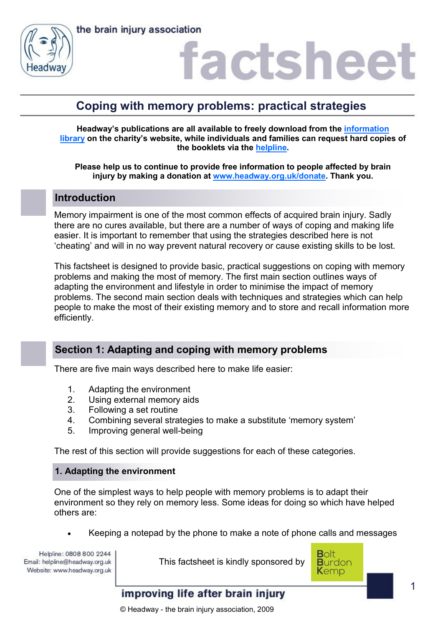



## **Coping with memory problems: practical strategies**

**Headway's publications are all available to freely download from the [information](https://www.headway.org.uk/about-brain-injury/individuals/information-library/)  [library](https://www.headway.org.uk/about-brain-injury/individuals/information-library/) on the charity's website, while individuals and families can request hard copies of the booklets via the [helpline.](https://www.headway.org.uk/supporting-you/helpline/)** 

**Please help us to continue to provide free information to people affected by brain injury by making a donation at [www.headway.org.uk/donate.](http://www.headway.org.uk/donate) Thank you.** 

## **Introduction**

Memory impairment is one of the most common effects of acquired brain injury. Sadly there are no cures available, but there are a number of ways of coping and making life easier. It is important to remember that using the strategies described here is not 'cheating' and will in no way prevent natural recovery or cause existing skills to be lost.

This factsheet is designed to provide basic, practical suggestions on coping with memory problems and making the most of memory. The first main section outlines ways of adapting the environment and lifestyle in order to minimise the impact of memory problems. The second main section deals with techniques and strategies which can help people to make the most of their existing memory and to store and recall information more efficiently.

## **Section 1: Adapting and coping with memory problems**

There are five main ways described here to make life easier:

- 1. Adapting the environment
- 2. Using external memory aids
- 3. Following a set routine
- 4. Combining several strategies to make a substitute 'memory system'
- 5. Improving general well-being

The rest of this section will provide suggestions for each of these categories.

#### **1. Adapting the environment**

One of the simplest ways to help people with memory problems is to adapt their environment so they rely on memory less. Some ideas for doing so which have helped others are:

Keeping a notepad by the phone to make a note of phone calls and messages

Helpline: 0808 800 2244 Email: helpline@headway.org.uk Website: www.headway.org.uk

This factsheet is kindly sponsored by

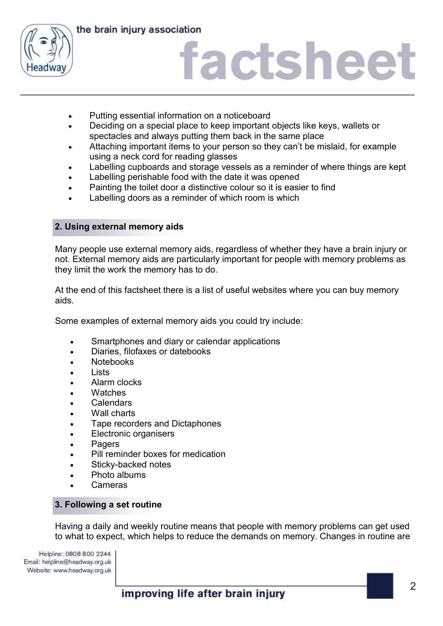

the brain injury association

## factsheet

- Putting essential information on a noticeboard
- Deciding on a special place to keep important objects like keys, wallets or spectacles and always putting them back in the same place
- Attaching important items to your person so they can't be mislaid, for example using a neck cord for reading glasses
- Labelling cupboards and storage vessels as a reminder of where things are kept
- Labelling perishable food with the date it was opened
- Painting the toilet door a distinctive colour so it is easier to find
- Labelling doors as a reminder of which room is which

## **2. Using external memory aids**

Many people use external memory aids, regardless of whether they have a brain injury or not. External memory aids are particularly important for people with memory problems as they limit the work the memory has to do.

At the end of this factsheet there is a list of useful websites where you can buy memory aids.

Some examples of external memory aids you could try include:

- Smartphones and diary or calendar applications
- Diaries, filofaxes or datebooks
- Notebooks
- $\cdot$  lists
- Alarm clocks
- Watches
- Calendars
- Wall charts
- Tape recorders and Dictaphones
- Electronic organisers
- Pagers
- Pill reminder boxes for medication
- Sticky-backed notes
- Photo albums
- Cameras

#### **3. Following a set routine**

Having a daily and weekly routine means that people with memory problems can get used to what to expect, which helps to reduce the demands on memory. Changes in routine are

Helpline: 0808 800 2244 Email: helpline@headway.org.uk Website: www.headway.org.uk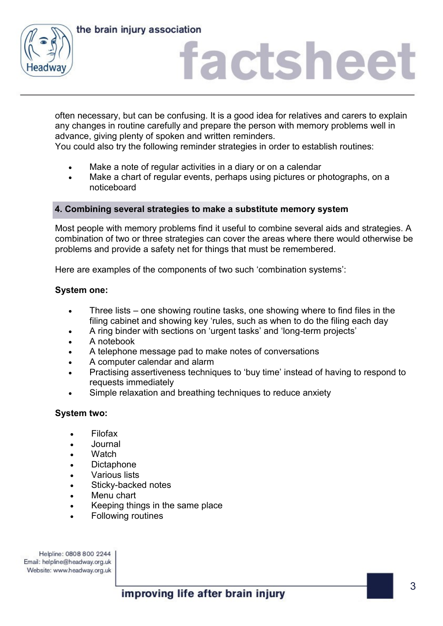the brain injury association



## factsheet

often necessary, but can be confusing. It is a good idea for relatives and carers to explain any changes in routine carefully and prepare the person with memory problems well in advance, giving plenty of spoken and written reminders.

You could also try the following reminder strategies in order to establish routines:

- Make a note of regular activities in a diary or on a calendar
- Make a chart of regular events, perhaps using pictures or photographs, on a noticeboard

#### **4. Combining several strategies to make a substitute memory system**

Most people with memory problems find it useful to combine several aids and strategies. A combination of two or three strategies can cover the areas where there would otherwise be problems and provide a safety net for things that must be remembered.

Here are examples of the components of two such 'combination systems':

#### **System one:**

- Three lists one showing routine tasks, one showing where to find files in the filing cabinet and showing key 'rules, such as when to do the filing each day
- A ring binder with sections on 'urgent tasks' and 'long-term projects'
- A notebook
- A telephone message pad to make notes of conversations
- A computer calendar and alarm
- Practising assertiveness techniques to 'buy time' instead of having to respond to requests immediately
- Simple relaxation and breathing techniques to reduce anxiety

### **System two:**

- Filofax
- Journal
- **Watch**
- Dictaphone
- Various lists
- Sticky-backed notes
- Menu chart
- Keeping things in the same place
- Following routines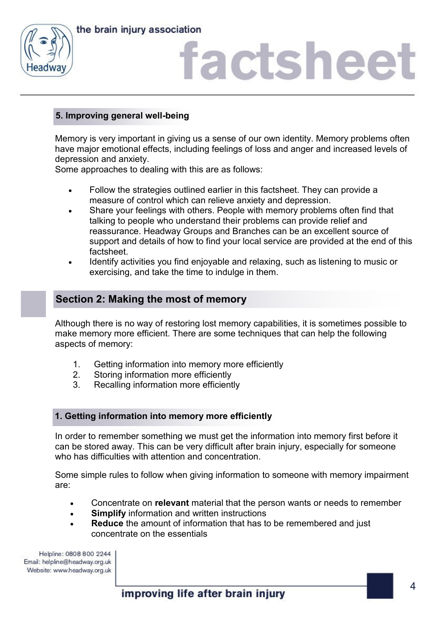



## **5. Improving general well-being**

Memory is very important in giving us a sense of our own identity. Memory problems often have major emotional effects, including feelings of loss and anger and increased levels of depression and anxiety.

Some approaches to dealing with this are as follows:

- Follow the strategies outlined earlier in this factsheet. They can provide a measure of control which can relieve anxiety and depression.
- Share your feelings with others. People with memory problems often find that talking to people who understand their problems can provide relief and reassurance. Headway Groups and Branches can be an excellent source of support and details of how to find your local service are provided at the end of this factsheet.
- Identify activities you find enjoyable and relaxing, such as listening to music or exercising, and take the time to indulge in them.

## **Section 2: Making the most of memory**

Although there is no way of restoring lost memory capabilities, it is sometimes possible to make memory more efficient. There are some techniques that can help the following aspects of memory:

- 1. Getting information into memory more efficiently
- 2. Storing information more efficiently
- 3. Recalling information more efficiently

### **1. Getting information into memory more efficiently**

In order to remember something we must get the information into memory first before it can be stored away. This can be very difficult after brain injury, especially for someone who has difficulties with attention and concentration.

Some simple rules to follow when giving information to someone with memory impairment are:

- Concentrate on **relevant** material that the person wants or needs to remember
- **Simplify** information and written instructions
- **Reduce** the amount of information that has to be remembered and just concentrate on the essentials

Helpline: 0808 800 2244 Email: helpline@headway.org.uk Website: www.headway.org.uk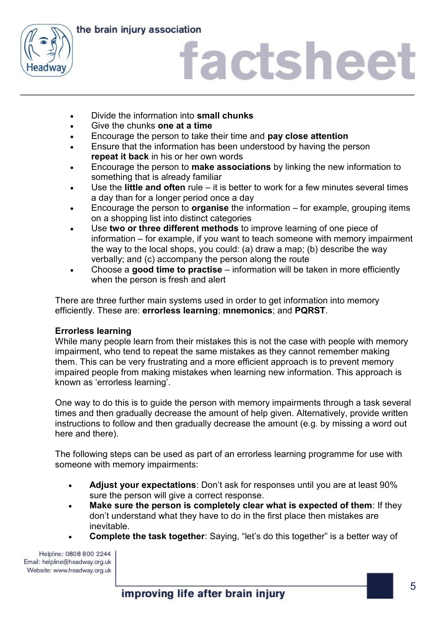



- Divide the information into **small chunks**
- Give the chunks **one at a time**
- Encourage the person to take their time and **pay close attention**
- Ensure that the information has been understood by having the person **repeat it back** in his or her own words
- Encourage the person to **make associations** by linking the new information to something that is already familiar
- Use the **little and often** rule it is better to work for a few minutes several times a day than for a longer period once a day
- Encourage the person to **organise** the information for example, grouping items on a shopping list into distinct categories
- Use **two or three different methods** to improve learning of one piece of information – for example, if you want to teach someone with memory impairment the way to the local shops, you could: (a) draw a map; (b) describe the way verbally; and (c) accompany the person along the route
- Choose a **good time to practise** information will be taken in more efficiently when the person is fresh and alert

There are three further main systems used in order to get information into memory efficiently. These are: **errorless learning**; **mnemonics**; and **PQRST**.

### **Errorless learning**

While many people learn from their mistakes this is not the case with people with memory impairment, who tend to repeat the same mistakes as they cannot remember making them. This can be very frustrating and a more efficient approach is to prevent memory impaired people from making mistakes when learning new information. This approach is known as 'errorless learning'.

One way to do this is to guide the person with memory impairments through a task several times and then gradually decrease the amount of help given. Alternatively, provide written instructions to follow and then gradually decrease the amount (e.g. by missing a word out here and there).

The following steps can be used as part of an errorless learning programme for use with someone with memory impairments:

- **Adjust your expectations**: Don't ask for responses until you are at least 90% sure the person will give a correct response.
- **Make sure the person is completely clear what is expected of them**: If they don't understand what they have to do in the first place then mistakes are inevitable.
- **Complete the task together**: Saying, "let's do this together" is a better way of

Helpline: 0808 800 2244 Email: helpline@headway.org.uk Website: www.headway.org.uk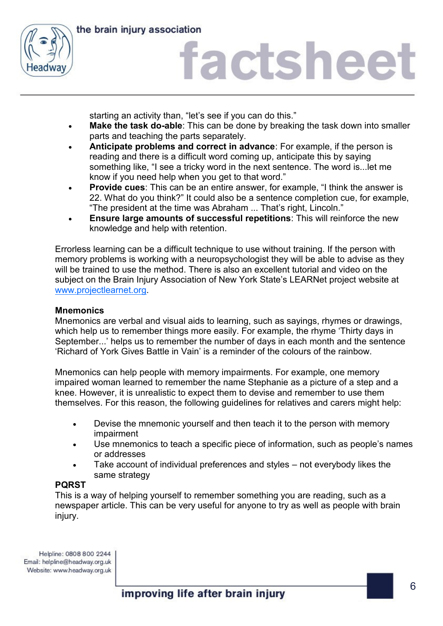

the brain injury association

# factsheet

starting an activity than, "let's see if you can do this."

- **Make the task do-able**: This can be done by breaking the task down into smaller parts and teaching the parts separately.
- **Anticipate problems and correct in advance**: For example, if the person is reading and there is a difficult word coming up, anticipate this by saying something like, "I see a tricky word in the next sentence. The word is...let me know if you need help when you get to that word."
- **Provide cues**: This can be an entire answer, for example, "I think the answer is 22. What do you think?" It could also be a sentence completion cue, for example, "The president at the time was Abraham ... That's right, Lincoln."
- **Ensure large amounts of successful repetitions**: This will reinforce the new knowledge and help with retention.

Errorless learning can be a difficult technique to use without training. If the person with memory problems is working with a neuropsychologist they will be able to advise as they will be trained to use the method. There is also an excellent tutorial and video on the subject on the Brain Injury Association of New York State's LEARNet project website at [www.projectlearnet.org.](http://www.projectlearnet.org/)

### **Mnemonics**

Mnemonics are verbal and visual aids to learning, such as sayings, rhymes or drawings, which help us to remember things more easily. For example, the rhyme 'Thirty days in September...' helps us to remember the number of days in each month and the sentence 'Richard of York Gives Battle in Vain' is a reminder of the colours of the rainbow.

Mnemonics can help people with memory impairments. For example, one memory impaired woman learned to remember the name Stephanie as a picture of a step and a knee. However, it is unrealistic to expect them to devise and remember to use them themselves. For this reason, the following guidelines for relatives and carers might help:

- Devise the mnemonic yourself and then teach it to the person with memory impairment
- Use mnemonics to teach a specific piece of information, such as people's names or addresses
- Take account of individual preferences and styles not everybody likes the same strategy

#### **PQRST**

This is a way of helping yourself to remember something you are reading, such as a newspaper article. This can be very useful for anyone to try as well as people with brain injury.

Helpline: 0808 800 2244 Email: helpline@headway.org.uk Website: www.headway.org.uk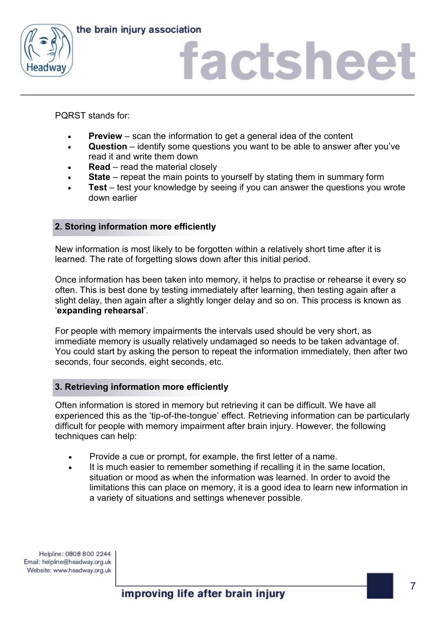



PQRST stands for:

- **Preview** scan the information to get a general idea of the content
- **Question** identify some questions you want to be able to answer after you've read it and write them down
- **Read** read the material closely
- **State** repeat the main points to yourself by stating them in summary form
- **Test** test your knowledge by seeing if you can answer the questions you wrote down earlier

### **2. Storing information more efficiently**

New information is most likely to be forgotten within a relatively short time after it is learned. The rate of forgetting slows down after this initial period.

Once information has been taken into memory, it helps to practise or rehearse it every so often. This is best done by testing immediately after learning, then testing again after a slight delay, then again after a slightly longer delay and so on. This process is known as '**expanding rehearsal**'.

For people with memory impairments the intervals used should be very short, as immediate memory is usually relatively undamaged so needs to be taken advantage of. You could start by asking the person to repeat the information immediately, then after two seconds, four seconds, eight seconds, etc.

#### **3. Retrieving information more efficiently**

Often information is stored in memory but retrieving it can be difficult. We have all experienced this as the 'tip-of-the-tongue' effect. Retrieving information can be particularly difficult for people with memory impairment after brain injury. However, the following techniques can help:

- Provide a cue or prompt, for example, the first letter of a name.
- It is much easier to remember something if recalling it in the same location, situation or mood as when the information was learned. In order to avoid the limitations this can place on memory, it is a good idea to learn new information in a variety of situations and settings whenever possible.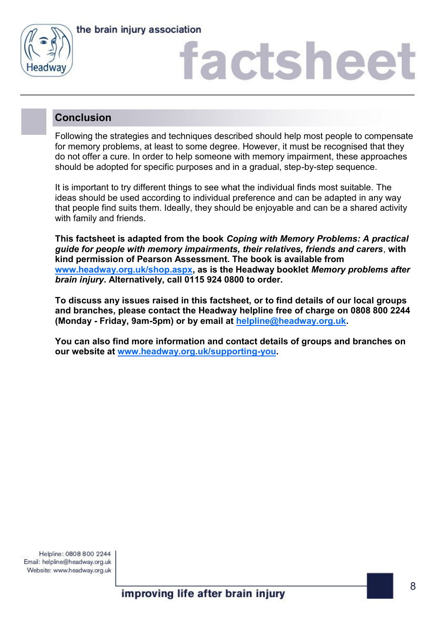



## **Conclusion**

Following the strategies and techniques described should help most people to compensate for memory problems, at least to some degree. However, it must be recognised that they do not offer a cure. In order to help someone with memory impairment, these approaches should be adopted for specific purposes and in a gradual, step-by-step sequence.

It is important to try different things to see what the individual finds most suitable. The ideas should be used according to individual preference and can be adapted in any way that people find suits them. Ideally, they should be enjoyable and can be a shared activity with family and friends.

**This factsheet is adapted from the book** *Coping with Memory Problems: A practical guide for people with memory impairments, their relatives, friends and carers*, **with kind permission of Pearson Assessment. The book is available from [www.headway.org.uk/shop.aspx,](http://www.headway.org.uk/shop.aspx) as is the Headway booklet** *Memory problems after brain injury***. Alternatively, call 0115 924 0800 to order.** 

**To discuss any issues raised in this factsheet, or to find details of our local groups and branches, please contact the Headway helpline free of charge on 0808 800 2244 (Monday - Friday, 9am-5pm) or by email at [helpline@headway.org.uk.](mailto:helpline@headway.org.uk)** 

**You can also find more information and contact details of groups and branches on our website at [www.headway.org.uk/supporting-you.](https://www.headway.org.uk/supporting-you/in-your-area/groups-and-branches/)**